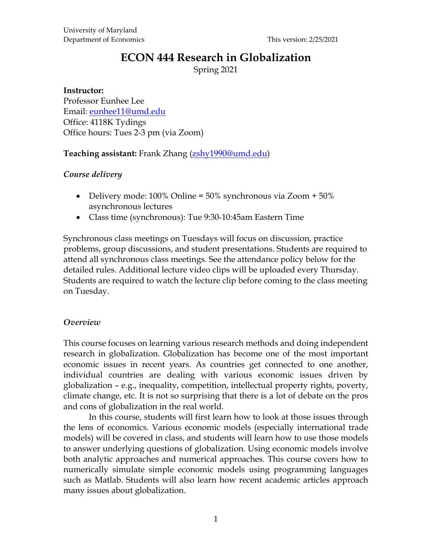# **ECON 444 Research in Globalization**

Spring 2021

#### **Instructor:**

Professor Eunhee Lee Email: [eunhee11@umd.edu](mailto:eunhee11@umd.edu) Office: 4118K Tydings Office hours: Tues 2-3 pm (via Zoom)

#### **Teaching assistant:** Frank Zhang [\(zshy1990@umd.edu\)](mailto:zshy1990@umd.edu)

#### *Course delivery*

- Delivery mode:  $100\%$  Online =  $50\%$  synchronous via Zoom +  $50\%$ asynchronous lectures
- Class time (synchronous): Tue 9:30-10:45am Eastern Time

Synchronous class meetings on Tuesdays will focus on discussion, practice problems, group discussions, and student presentations. Students are required to attend all synchronous class meetings. See the attendance policy below for the detailed rules. Additional lecture video clips will be uploaded every Thursday. Students are required to watch the lecture clip before coming to the class meeting on Tuesday.

#### *Overview*

This course focuses on learning various research methods and doing independent research in globalization. Globalization has become one of the most important economic issues in recent years. As countries get connected to one another, individual countries are dealing with various economic issues driven by globalization – e.g., inequality, competition, intellectual property rights, poverty, climate change, etc. It is not so surprising that there is a lot of debate on the pros and cons of globalization in the real world.

In this course, students will first learn how to look at those issues through the lens of economics. Various economic models (especially international trade models) will be covered in class, and students will learn how to use those models to answer underlying questions of globalization. Using economic models involve both analytic approaches and numerical approaches. This course covers how to numerically simulate simple economic models using programming languages such as Matlab. Students will also learn how recent academic articles approach many issues about globalization.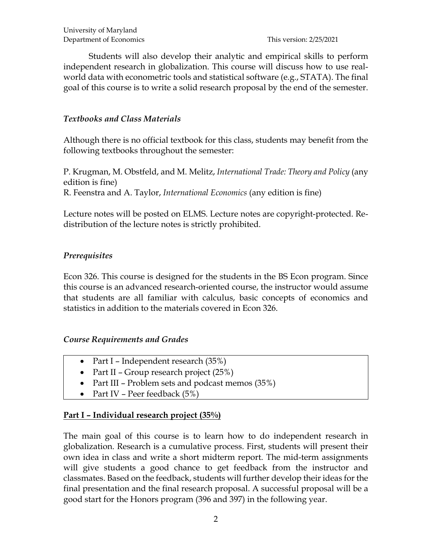Students will also develop their analytic and empirical skills to perform independent research in globalization. This course will discuss how to use realworld data with econometric tools and statistical software (e.g., STATA). The final goal of this course is to write a solid research proposal by the end of the semester.

# *Textbooks and Class Materials*

Although there is no official textbook for this class, students may benefit from the following textbooks throughout the semester:

P. Krugman, M. Obstfeld, and M. Melitz, *International Trade: Theory and Policy* (any edition is fine) R. Feenstra and A. Taylor, *International Economics* (any edition is fine)

Lecture notes will be posted on ELMS. Lecture notes are copyright-protected. Redistribution of the lecture notes is strictly prohibited.

# *Prerequisites*

Econ 326. This course is designed for the students in the BS Econ program. Since this course is an advanced research-oriented course, the instructor would assume that students are all familiar with calculus, basic concepts of economics and statistics in addition to the materials covered in Econ 326.

# *Course Requirements and Grades*

- Part I Independent research (35%)
- Part II Group research project (25%)
- Part III Problem sets and podcast memos (35%)
- Part IV Peer feedback (5%)

# **Part I – Individual research project (35%)**

The main goal of this course is to learn how to do independent research in globalization. Research is a cumulative process. First, students will present their own idea in class and write a short midterm report. The mid-term assignments will give students a good chance to get feedback from the instructor and classmates. Based on the feedback, students will further develop their ideas for the final presentation and the final research proposal. A successful proposal will be a good start for the Honors program (396 and 397) in the following year.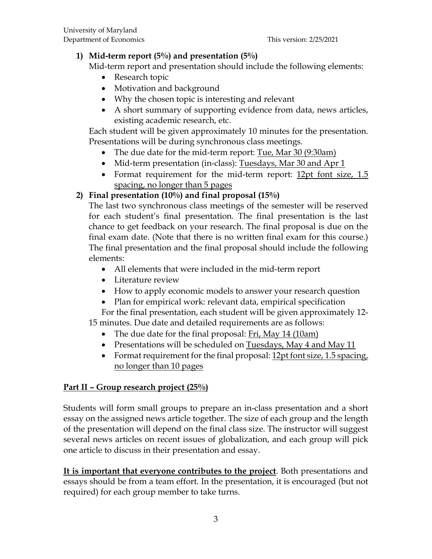# **1) Mid-term report (5%) and presentation (5%)**

Mid-term report and presentation should include the following elements:

- Research topic
- Motivation and background
- Why the chosen topic is interesting and relevant
- A short summary of supporting evidence from data, news articles, existing academic research, etc.

Each student will be given approximately 10 minutes for the presentation. Presentations will be during synchronous class meetings.

- The due date for the mid-term report: Tue, Mar 30 (9:30am)
- Mid-term presentation (in-class): Tuesdays, Mar 30 and Apr 1
- Format requirement for the mid-term report: 12pt font size, 1.5 spacing, no longer than 5 pages

# **2) Final presentation (10%) and final proposal (15%)**

The last two synchronous class meetings of the semester will be reserved for each student's final presentation. The final presentation is the last chance to get feedback on your research. The final proposal is due on the final exam date. (Note that there is no written final exam for this course.) The final presentation and the final proposal should include the following elements:

- All elements that were included in the mid-term report
- Literature review
- How to apply economic models to answer your research question
- Plan for empirical work: relevant data, empirical specification

For the final presentation, each student will be given approximately 12- 15 minutes. Due date and detailed requirements are as follows:

- The due date for the final proposal: Fri, May 14 (10am)
- Presentations will be scheduled on Tuesdays, May 4 and May 11
- Format requirement for the final proposal: 12pt font size, 1.5 spacing, no longer than 10 pages

# **Part II – Group research project (25%)**

Students will form small groups to prepare an in-class presentation and a short essay on the assigned news article together. The size of each group and the length of the presentation will depend on the final class size. The instructor will suggest several news articles on recent issues of globalization, and each group will pick one article to discuss in their presentation and essay.

**It is important that everyone contributes to the project**. Both presentations and essays should be from a team effort. In the presentation, it is encouraged (but not required) for each group member to take turns.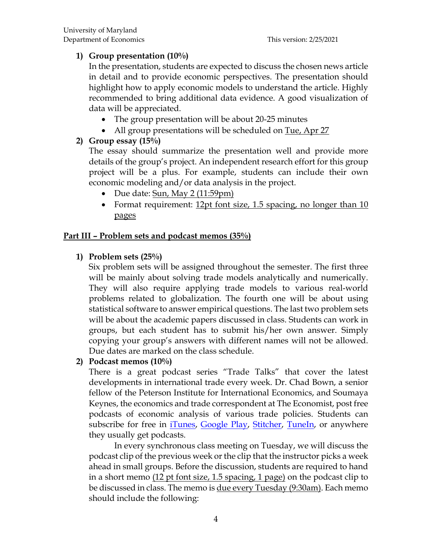# **1) Group presentation (10%)**

In the presentation, students are expected to discuss the chosen news article in detail and to provide economic perspectives. The presentation should highlight how to apply economic models to understand the article. Highly recommended to bring additional data evidence. A good visualization of data will be appreciated.

- The group presentation will be about 20-25 minutes
- All group presentations will be scheduled on Tue, Apr 27

# **2) Group essay (15%)**

The essay should summarize the presentation well and provide more details of the group's project. An independent research effort for this group project will be a plus. For example, students can include their own economic modeling and/or data analysis in the project.

- Due date: Sun, May 2 (11:59pm)
- Format requirement: 12pt font size, 1.5 spacing, no longer than 10 pages

# **Part III – Problem sets and podcast memos (35%)**

# **1) Problem sets (25%)**

Six problem sets will be assigned throughout the semester. The first three will be mainly about solving trade models analytically and numerically. They will also require applying trade models to various real-world problems related to globalization. The fourth one will be about using statistical software to answer empirical questions. The last two problem sets will be about the academic papers discussed in class. Students can work in groups, but each student has to submit his/her own answer. Simply copying your group's answers with different names will not be allowed. Due dates are marked on the class schedule.

# **2) Podcast memos (10%)**

There is a great podcast series "Trade Talks" that cover the latest developments in international trade every week. Dr. Chad Bown, a senior fellow of the Peterson Institute for International Economics, and Soumaya Keynes, the economics and trade correspondent at The Economist, post free podcasts of economic analysis of various trade policies. Students can subscribe for free in *iTunes*, [Google Play,](https://play.google.com/music/m/Iiyl73equbilxwujeuoyfkmqhuy?t=Trade_Talks__PIIE) [Stitcher,](https://www.stitcher.com/podcast/peterson-institute-for-international-economics/trade-talks) [TuneIn,](https://tunein.com/radio/Trade-Talks--PIIE-p1022096/) or anywhere they usually get podcasts.

In every synchronous class meeting on Tuesday, we will discuss the podcast clip of the previous week or the clip that the instructor picks a week ahead in small groups. Before the discussion, students are required to hand in a short memo (12 pt font size, 1.5 spacing, 1 page) on the podcast clip to be discussed in class. The memo is due every Tuesday (9:30am). Each memo should include the following: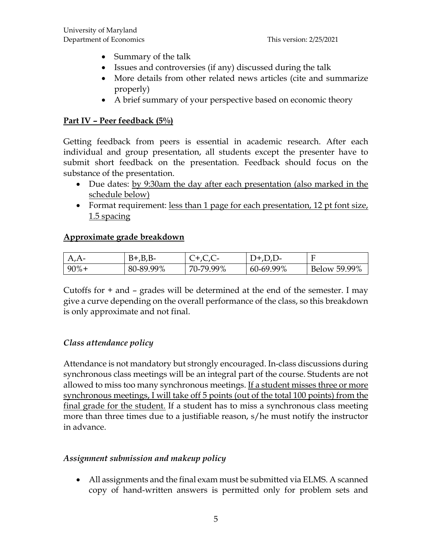- Summary of the talk
- Issues and controversies (if any) discussed during the talk
- More details from other related news articles (cite and summarize properly)
- A brief summary of your perspective based on economic theory

# **Part IV – Peer feedback (5%)**

Getting feedback from peers is essential in academic research. After each individual and group presentation, all students except the presenter have to submit short feedback on the presentation. Feedback should focus on the substance of the presentation.

- Due dates: by 9:30am the day after each presentation (also marked in the schedule below)
- Format requirement: <u>less than 1 page for each presentation</u>, 12 pt font size, 1.5 spacing

# **Approximate grade breakdown**

| $A, A-$  | $B+, B, B-$ | $\curvearrowright$ +,C,C- | $D+$ ,D,D- |              |
|----------|-------------|---------------------------|------------|--------------|
| $90\% +$ | 80-89.99%   | 70-79.99%                 | 60-69.99%  | Below 59.99% |

Cutoffs for + and – grades will be determined at the end of the semester. I may give a curve depending on the overall performance of the class, so this breakdown is only approximate and not final.

# *Class attendance policy*

Attendance is not mandatory but strongly encouraged. In-class discussions during synchronous class meetings will be an integral part of the course. Students are not allowed to miss too many synchronous meetings. If a student misses three or more synchronous meetings, I will take off 5 points (out of the total 100 points) from the final grade for the student. If a student has to miss a synchronous class meeting more than three times due to a justifiable reason, s/he must notify the instructor in advance.

# *Assignment submission and makeup policy*

• All assignments and the final exam must be submitted via ELMS. A scanned copy of hand-written answers is permitted only for problem sets and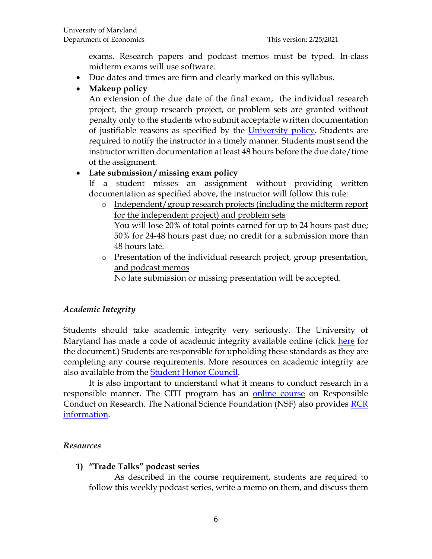exams. Research papers and podcast memos must be typed. In-class midterm exams will use software.

- Due dates and times are firm and clearly marked on this syllabus.
- **Makeup policy**

An extension of the due date of the final exam, the individual research project, the group research project, or problem sets are granted without penalty only to the students who submit acceptable written documentation of justifiable reasons as specified by the [University policy.](https://faculty.umd.edu/teach/attend_student.html) Students are required to notify the instructor in a timely manner. Students must send the instructor written documentation at least 48 hours before the due date/time of the assignment.

# • **Late submission / missing exam policy**

If a student misses an assignment without providing written documentation as specified above, the instructor will follow this rule:

- o Independent/group research projects (including the midterm report for the independent project) and problem sets You will lose 20% of total points earned for up to 24 hours past due; 50% for 24-48 hours past due; no credit for a submission more than 48 hours late.
- o Presentation of the individual research project, group presentation, and podcast memos

No late submission or missing presentation will be accepted.

# *Academic Integrity*

Students should take academic integrity very seriously. The University of Maryland has made a code of academic integrity available online (click [here](https://president.umd.edu/sites/president.umd.edu/files/documents/policies/III-100A.pdf) for the document.) Students are responsible for upholding these standards as they are completing any course requirements. More resources on academic integrity are also available from the [Student Honor Council.](http://shc.umd.edu/SHC/Default.aspx)

It is also important to understand what it means to conduct research in a responsible manner. The CITI program has an [online course](https://about.citiprogram.org/en/series/responsible-conduct-of-research-rcr/) on Responsible Conduct on Research. The National Science Foundation (NSF) also provides **RCR** [information.](https://www.nsf.gov/bfa/dias/policy/rcr.jsp)

#### *Resources*

#### **1) "Trade Talks" podcast series**

As described in the course requirement, students are required to follow this weekly podcast series, write a memo on them, and discuss them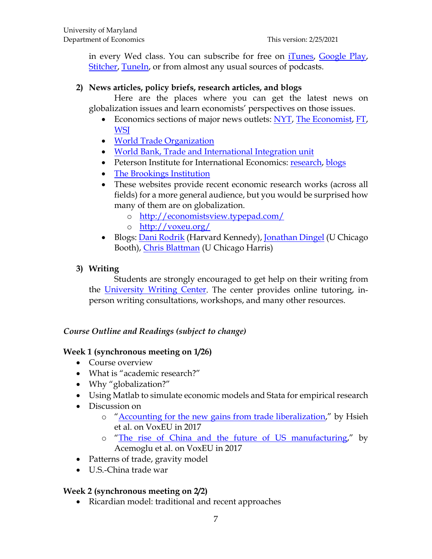in every Wed class. You can subscribe for free on [iTunes,](https://itunes.apple.com/us/podcast/trade-talks-piie/id1270804213?mt=2) [Google Play,](https://play.google.com/music/m/Iiyl73equbilxwujeuoyfkmqhuy?t=Trade_Talks__PIIE) [Stitcher,](https://www.stitcher.com/podcast/peterson-institute-for-international-economics/trade-talks) [TuneIn,](https://tunein.com/radio/Trade-Talks--PIIE-p1022096/) or from almost any usual sources of podcasts.

# **2) News articles, policy briefs, research articles, and blogs**

Here are the places where you can get the latest news on globalization issues and learn economists' perspectives on those issues.

- Economics sections of major news outlets: [NYT,](https://www.nytimes.com/section/business/economy) [The Economist,](https://www.economist.com/sections/economics) [FT,](https://www.ft.com/globalinfrastructure) **WSI**
- [World Trade Organization](https://www.wto.org/english/res_e/reser_e/reser_e.htm)
- [World Bank, Trade and International Integration unit](http://econ.worldbank.org/WBSITE/EXTERNAL/EXTDEC/EXTRESEARCH/EXTPROGRAMS/EXTTRADERESEARCH/0,,noSURL:Y%7EmenuPK:544860%7EpagePK:64168176%7EpiPK:64168140%7EtheSitePK:544849,00.html)
- Peterson Institute for International Economics: [research,](https://piie.com/research) [blogs](https://piie.com/blogs)
- [The Brookings Institution](https://www.brookings.edu/topic/global-economy/)
- These websites provide recent economic research works (across all fields) for a more general audience, but you would be surprised how many of them are on globalization.
	- o <http://economistsview.typepad.com/>
	- o <http://voxeu.org/>
- Blogs[: Dani Rodrik](http://rodrik.typepad.com/dani_rodriks_weblog/) (Harvard Kennedy), [Jonathan Dingel](https://tradediversion.net/) (U Chicago Booth), [Chris Blattman](https://chrisblattman.com/) (U Chicago Harris)

# **3) Writing**

Students are strongly encouraged to get help on their writing from the [University Writing Center.](http://www.english.umd.edu/academics/writingcenter/undergraduate) The center provides online tutoring, inperson writing consultations, workshops, and many other resources.

# *Course Outline and Readings (subject to change)*

# **Week 1 (synchronous meeting on 1/26)**

- Course overview
- What is "academic research?"
- Why "globalization?"
- Using Matlab to simulate economic models and Stata for empirical research
- Discussion on
	- o ["Accounting for the new gains from trade liberalization,](http://voxeu.org/article/accounting-new-gains-trade-liberalisation)" by Hsieh et al. on VoxEU in 2017
	- o ["The rise of China and the future of US manufacturing,](http://voxeu.org/article/rise-china-and-future-us-manufacturing)" by Acemoglu et al. on VoxEU in 2017
- Patterns of trade, gravity model
- U.S.-China trade war

# **Week 2 (synchronous meeting on 2/2)**

• Ricardian model: traditional and recent approaches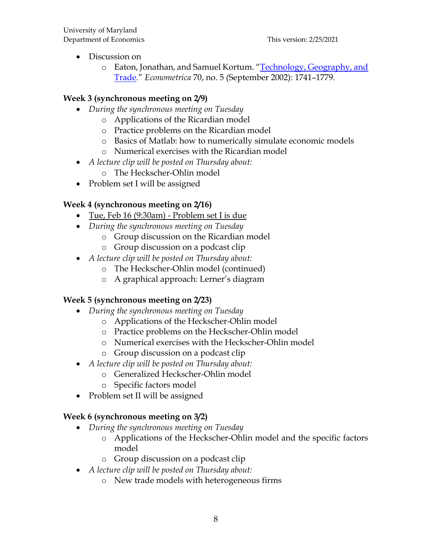University of Maryland Department of Economics This version: 2/25/2021

- Discussion on
	- o Eaton, Jonathan, and Samuel Kortum. ["Technology, Geography, and](https://www.jstor.org/stable/3082019#metadata_info_tab_contents)  [Trade.](https://www.jstor.org/stable/3082019#metadata_info_tab_contents)" *Econometrica* 70, no. 5 (September 2002): 1741–1779.

### **Week 3 (synchronous meeting on 2/9)**

- *During the synchronous meeting on Tuesday*
	- o Applications of the Ricardian model
	- o Practice problems on the Ricardian model
	- o Basics of Matlab: how to numerically simulate economic models
	- o Numerical exercises with the Ricardian model
- *A lecture clip will be posted on Thursday about:*
	- o The Heckscher-Ohlin model
- Problem set I will be assigned

# **Week 4 (synchronous meeting on 2/16)**

- Tue, Feb 16 (9:30am) Problem set I is due
- *During the synchronous meeting on Tuesday*
	- o Group discussion on the Ricardian model
	- o Group discussion on a podcast clip
- *A lecture clip will be posted on Thursday about:*
	- o The Heckscher-Ohlin model (continued)
	- o A graphical approach: Lerner's diagram

# **Week 5 (synchronous meeting on 2/23)**

- *During the synchronous meeting on Tuesday*
	- o Applications of the Heckscher-Ohlin model
	- o Practice problems on the Heckscher-Ohlin model
	- o Numerical exercises with the Heckscher-Ohlin model
	- o Group discussion on a podcast clip
- *A lecture clip will be posted on Thursday about:*
	- o Generalized Heckscher-Ohlin model
	- o Specific factors model
- Problem set II will be assigned

# **Week 6 (synchronous meeting on 3/2)**

- *During the synchronous meeting on Tuesday*
	- o Applications of the Heckscher-Ohlin model and the specific factors model
	- o Group discussion on a podcast clip
- *A lecture clip will be posted on Thursday about:*
	- o New trade models with heterogeneous firms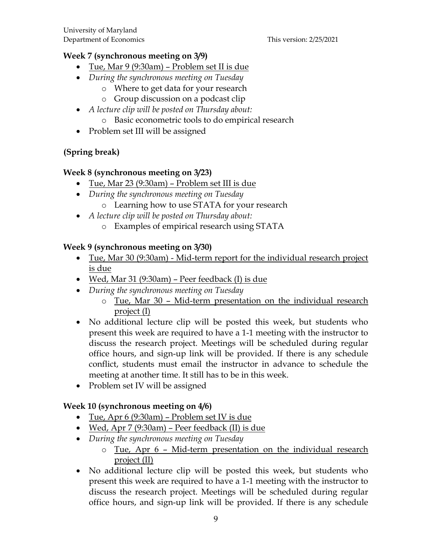# **Week 7 (synchronous meeting on 3/9)**

- Tue, Mar 9 (9:30am) Problem set II is due
- *During the synchronous meeting on Tuesday*
	- o Where to get data for your research
	- o Group discussion on a podcast clip
- *A lecture clip will be posted on Thursday about:*
	- o Basic econometric tools to do empirical research
- Problem set III will be assigned

# **(Spring break)**

# **Week 8 (synchronous meeting on 3/23)**

- Tue, Mar  $23$  (9:30am) Problem set III is due
- *During the synchronous meeting on Tuesday* o Learning how to use STATA for your research
- *A lecture clip will be posted on Thursday about:*
	- o Examples of empirical research using STATA

# **Week 9 (synchronous meeting on 3/30)**

- Tue, Mar 30 (9:30am) Mid-term report for the individual research project is due
- Wed, Mar 31 (9:30am) Peer feedback (I) is due
- *During the synchronous meeting on Tuesday*
	- o Tue, Mar 30 Mid-term presentation on the individual research project (I)
- No additional lecture clip will be posted this week, but students who present this week are required to have a 1-1 meeting with the instructor to discuss the research project. Meetings will be scheduled during regular office hours, and sign-up link will be provided. If there is any schedule conflict, students must email the instructor in advance to schedule the meeting at another time. It still has to be in this week.
- Problem set IV will be assigned

# **Week 10 (synchronous meeting on 4/6)**

- Tue, Apr 6 (9:30am) Problem set IV is due
- Wed, Apr 7 (9:30am) Peer feedback (II) is due
- *During the synchronous meeting on Tuesday*
	- o Tue, Apr 6 Mid-term presentation on the individual research project (II)
- No additional lecture clip will be posted this week, but students who present this week are required to have a 1-1 meeting with the instructor to discuss the research project. Meetings will be scheduled during regular office hours, and sign-up link will be provided. If there is any schedule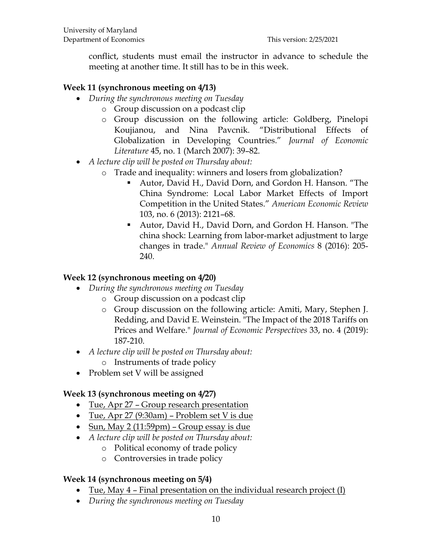conflict, students must email the instructor in advance to schedule the meeting at another time. It still has to be in this week.

### **Week 11 (synchronous meeting on 4/13)**

- *During the synchronous meeting on Tuesday*
	- o Group discussion on a podcast clip
	- o Group discussion on the following article: Goldberg, Pinelopi Koujianou, and Nina Pavcnik. "Distributional Effects of Globalization in Developing Countries." *Journal of Economic Literature* 45, no. 1 (March 2007): 39–82.
- *A lecture clip will be posted on Thursday about:*
	- o Trade and inequality: winners and losers from globalization?
		- Autor, David H., David Dorn, and Gordon H. Hanson. "The China Syndrome: Local Labor Market Effects of Import Competition in the United States." *American Economic Review* 103, no. 6 (2013): 2121–68.
		- Autor, David H., David Dorn, and Gordon H. Hanson. "The china shock: Learning from labor-market adjustment to large changes in trade." *Annual Review of Economics* 8 (2016): 205- 240.

#### **Week 12 (synchronous meeting on 4/20)**

- *During the synchronous meeting on Tuesday*
	- o Group discussion on a podcast clip
	- o Group discussion on the following article: Amiti, Mary, Stephen J. Redding, and David E. Weinstein. "The Impact of the 2018 Tariffs on Prices and Welfare." *Journal of Economic Perspectives* 33, no. 4 (2019): 187-210.
- *A lecture clip will be posted on Thursday about:*
	- o Instruments of trade policy
- Problem set V will be assigned

# **Week 13 (synchronous meeting on 4/27)**

- Tue, Apr 27 Group research presentation
- Tue, Apr 27 (9:30am) Problem set V is due
- Sun, May  $2(11:59pm)$  Group essay is due
- *A lecture clip will be posted on Thursday about:*
	- o Political economy of trade policy
	- o Controversies in trade policy

#### **Week 14 (synchronous meeting on 5/4)**

- Tue, May 4 Final presentation on the individual research project (I)
- *During the synchronous meeting on Tuesday*